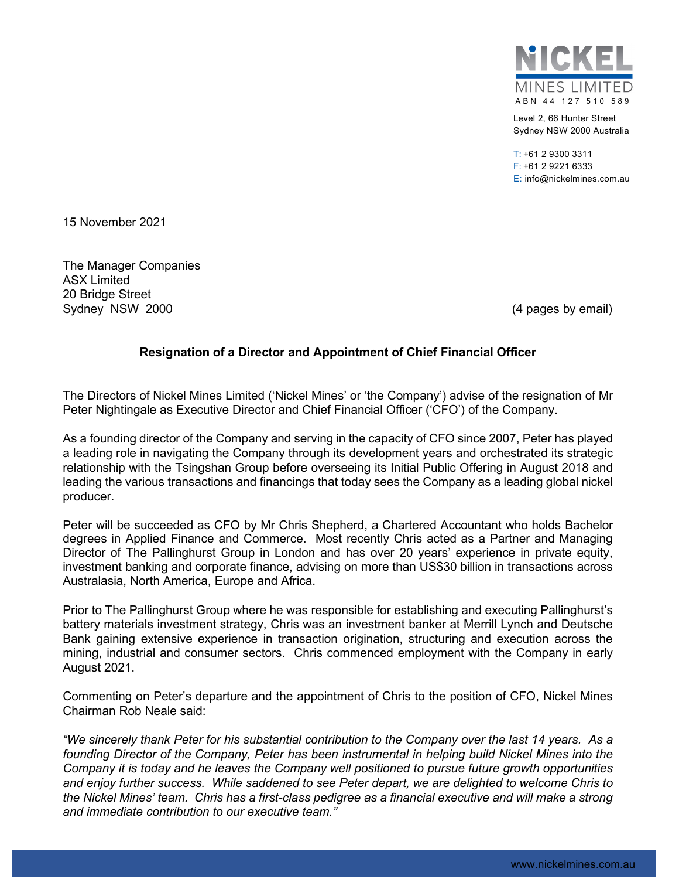

Level 2, 66 Hunter Street Sydney NSW 2000 Australia

T: +61 2 9300 3311 F: +61 2 9221 6333 E: info@nickelmines.com.au

15 November 2021

The Manager Companies ASX Limited 20 Bridge Street Sydney NSW 2000 (4 pages by email)

### **Resignation of a Director and Appointment of Chief Financial Officer**

The Directors of Nickel Mines Limited ('Nickel Mines' or 'the Company') advise of the resignation of Mr Peter Nightingale as Executive Director and Chief Financial Officer ('CFO') of the Company.

As a founding director of the Company and serving in the capacity of CFO since 2007, Peter has played a leading role in navigating the Company through its development years and orchestrated its strategic relationship with the Tsingshan Group before overseeing its Initial Public Offering in August 2018 and leading the various transactions and financings that today sees the Company as a leading global nickel producer.

Peter will be succeeded as CFO by Mr Chris Shepherd, a Chartered Accountant who holds Bachelor degrees in Applied Finance and Commerce. Most recently Chris acted as a Partner and Managing Director of The Pallinghurst Group in London and has over 20 years' experience in private equity, investment banking and corporate finance, advising on more than US\$30 billion in transactions across Australasia, North America, Europe and Africa.

Prior to The Pallinghurst Group where he was responsible for establishing and executing Pallinghurst's battery materials investment strategy, Chris was an investment banker at Merrill Lynch and Deutsche Bank gaining extensive experience in transaction origination, structuring and execution across the mining, industrial and consumer sectors. Chris commenced employment with the Company in early August 2021.

Commenting on Peter's departure and the appointment of Chris to the position of CFO, Nickel Mines Chairman Rob Neale said:

*"We sincerely thank Peter for his substantial contribution to the Company over the last 14 years. As a founding Director of the Company, Peter has been instrumental in helping build Nickel Mines into the Company it is today and he leaves the Company well positioned to pursue future growth opportunities and enjoy further success. While saddened to see Peter depart, we are delighted to welcome Chris to the Nickel Mines' team. Chris has a first-class pedigree as a financial executive and will make a strong and immediate contribution to our executive team."*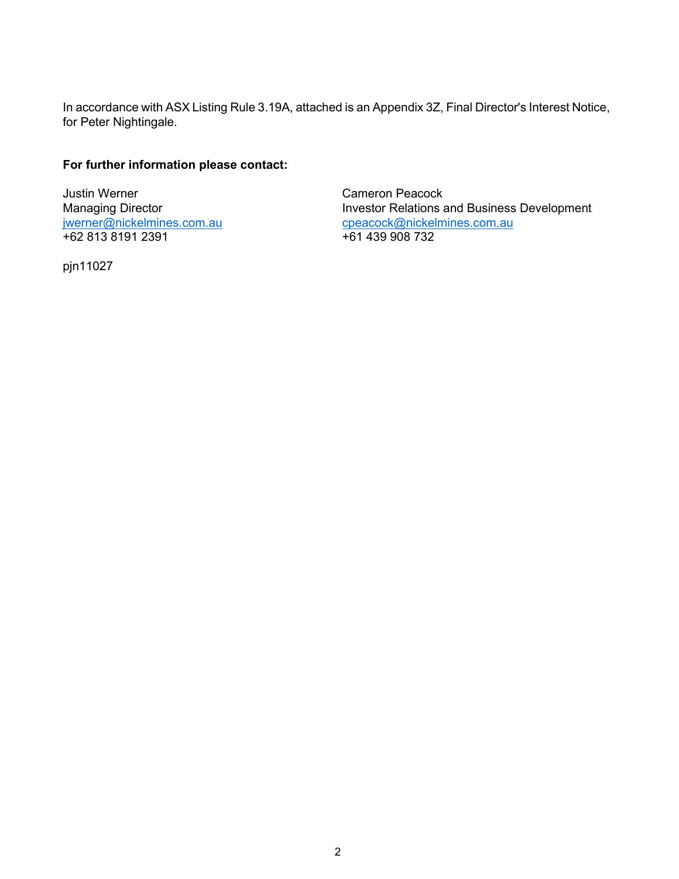In accordance with ASX Listing Rule 3.19A, attached is an Appendix 3Z, Final Director's Interest Notice, for Peter Nightingale.

## **For further information please contact:**

Justin Werner Cameron Peacock +62 813 8191 2391

Managing Director<br>
<u>Investor Relations and Business Development</u><br>
<u>Investor Relations and Business Development</u><br>
<u>Coeacock@nickelmines.com.au</u> [cpeacock@nickelmines.com.au](mailto:cpeacock@nickelmines.com.au) +61 439 908 732

pjn11027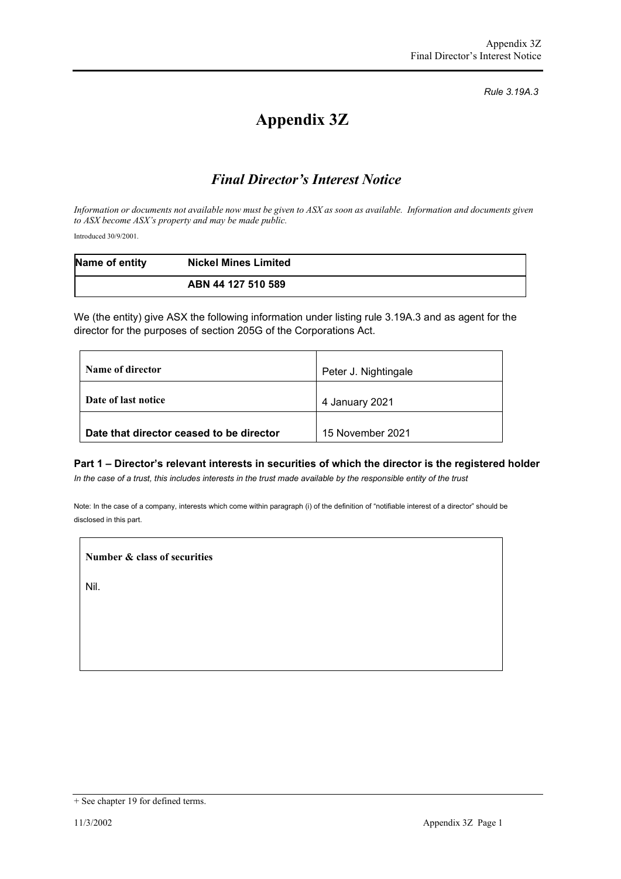*Rule 3.19A.3*

# **Appendix 3Z**

# *Final Director's Interest Notice*

*Information or documents not available now must be given to ASX as soon as available. Information and documents given to ASX become ASX's property and may be made public.*

Introduced 30/9/2001.

| Name of entity | <b>Nickel Mines Limited</b> |  |
|----------------|-----------------------------|--|
|                | ABN 44 127 510 589          |  |

We (the entity) give ASX the following information under listing rule 3.19A.3 and as agent for the director for the purposes of section 205G of the Corporations Act.

| Name of director                         | Peter J. Nightingale |
|------------------------------------------|----------------------|
| Date of last notice                      | 4 January 2021       |
| Date that director ceased to be director | 15 November 2021     |

#### **Part 1 – Director's relevant interests in securities of which the director is the registered holder**

*In the case of a trust, this includes interests in the trust made available by the responsible entity of the trust*

Note: In the case of a company, interests which come within paragraph (i) of the definition of "notifiable interest of a director" should be disclosed in this part.

**Number & class of securities**

Nil.

<sup>+</sup> See chapter 19 for defined terms.